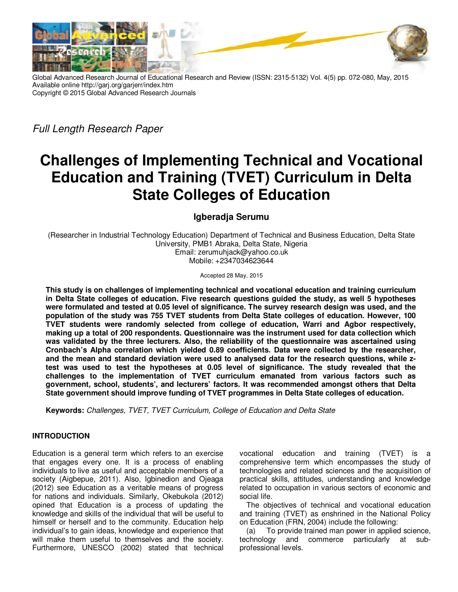

Global Advanced Research Journal of Educational Research and Review (ISSN: 2315-5132) Vol. 4(5) pp. 072-080, May, 2015 Available online http://garj.org/garjerr/index.htm Copyright © 2015 Global Advanced Research Journals

*Full Length Research Paper* 

# **Challenges of Implementing Technical and Vocational Education and Training (TVET) Curriculum in Delta State Colleges of Education**

# **Igberadja Serumu**

(Researcher in Industrial Technology Education) Department of Technical and Business Education, Delta State University, PMB1 Abraka, Delta State, Nigeria Email: zerumuhjack@yahoo.co.uk Mobile: +2347034623644

Accepted 28 May, 2015

**This study is on challenges of implementing technical and vocational education and training curriculum in Delta State colleges of education. Five research questions guided the study, as well 5 hypotheses were formulated and tested at 0.05 level of significance. The survey research design was used, and the population of the study was 755 TVET students from Delta State colleges of education. However, 100 TVET students were randomly selected from college of education, Warri and Agbor respectively, making up a total of 200 respondents. Questionnaire was the instrument used for data collection which was validated by the three lecturers. Also, the reliability of the questionnaire was ascertained using Cronbach's Alpha correlation which yielded 0.89 coefficients. Data were collected by the researcher, and the mean and standard deviation were used to analysed data for the research questions, while ztest was used to test the hypotheses at 0.05 level of significance. The study revealed that the challenges to the implementation of TVET curriculum emanated from various factors such as government, school, students', and lecturers' factors. It was recommended amongst others that Delta State government should improve funding of TVET programmes in Delta State colleges of education.** 

**Keywords:** *Challenges, TVET, TVET Curriculum, College of Education and Delta State* 

# **INTRODUCTION**

Education is a general term which refers to an exercise that engages every one. It is a process of enabling individuals to live as useful and acceptable members of a society (Aigbepue, 2011). Also, Igbinedion and Ojeaga (2012) see Education as a veritable means of progress for nations and individuals. Similarly, Okebukola (2012) opined that Education is a process of updating the knowledge and skills of the individual that will be useful to himself or herself and to the community. Education help individual's to gain ideas, knowledge and experience that will make them useful to themselves and the society. Furthermore, UNESCO (2002) stated that technical

vocational education and training (TVET) is a comprehensive term which encompasses the study of technologies and related sciences and the acquisition of practical skills, attitudes, understanding and knowledge related to occupation in various sectors of economic and social life.

The objectives of technical and vocational education and training (TVET) as enshrined in the National Policy on Education (FRN, 2004) include the following:

(a) To provide trained man power in applied science, technology and commerce particularly at subprofessional levels.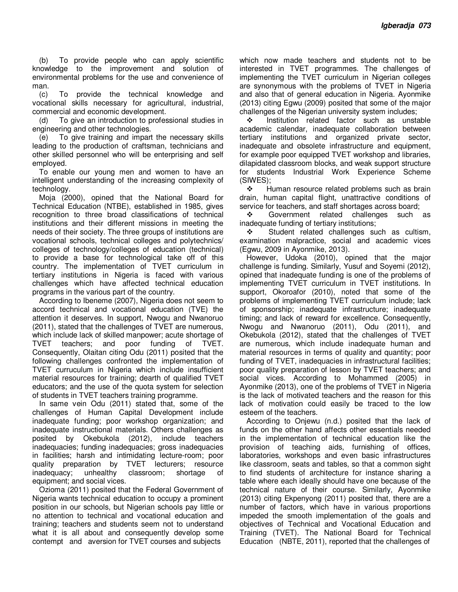(b) To provide people who can apply scientific knowledge to the improvement and solution of environmental problems for the use and convenience of man.

(c) To provide the technical knowledge and vocational skills necessary for agricultural, industrial, commercial and economic development.

(d) To give an introduction to professional studies in engineering and other technologies.

(e) To give training and impart the necessary skills leading to the production of craftsman, technicians and other skilled personnel who will be enterprising and self employed.

To enable our young men and women to have an intelligent understanding of the increasing complexity of technology.

Moja (2000), opined that the National Board for Technical Education (NTBE), established in 1985, gives recognition to three broad classifications of technical institutions and their different missions in meeting the needs of their society. The three groups of institutions are vocational schools, technical colleges and polytechnics/ colleges of technology/colleges of education (technical) to provide a base for technological take off of this country. The implementation of TVET curriculum in tertiary institutions in Nigeria is faced with various challenges which have affected technical education programs in the various part of the country.

According to Ibeneme (2007), Nigeria does not seem to accord technical and vocational education (TVE) the attention it deserves. In support, Nwogu and Nwanoruo (2011), stated that the challenges of TVET are numerous, which include lack of skilled manpower; acute shortage of<br>TVET teachers; and poor funding of TVET. TVET teachers; and poor funding of TVET. Consequently, Olaitan citing Odu (2011) posited that the following challenges confronted the implementation of TVET curruculum in Nigeria which include insufficient material resources for training; dearth of qualified TVET educators; and the use of the quota system for selection of students in TVET teachers training programme.

In same vein Odu (2011) stated that, some of the challenges of Human Capital Development include inadequate funding; poor workshop organization; and inadequate instructional materials. Others challenges as posited by Okebukola (2012), include teachers inadequacies; funding inadequacies; gross inadequacies in facilities; harsh and intimidating lecture-room; poor quality preparation by TVET lecturers; resource inadequacy; unhealthy classroom; shortage of equipment; and social vices.

Ozioma (2011) posited that the Federal Government of Nigeria wants technical education to occupy a prominent position in our schools, but Nigerian schools pay little or no attention to technical and vocational education and training; teachers and students seem not to understand what it is all about and consequently develop some contempt and aversion for TVET courses and subjects

which now made teachers and students not to be interested in TVET programmes. The challenges of implementing the TVET curriculum in Nigerian colleges are synonymous with the problems of TVET in Nigeria and also that of general education in Nigeria. Ayonmike (2013) citing Egwu (2009) posited that some of the major challenges of the Nigerian university system includes;

 $\cdot \cdot$  Institution related factor such as unstable academic calendar, inadequate collaboration between tertiary institutions and organized private sector, inadequate and obsolete infrastructure and equipment, for example poor equipped TVET workshop and libraries, dilapidated classroom blocks, and weak support structure for students Industrial Work Experience Scheme (SIWES);

 $\cdot \cdot$  Human resource related problems such as brain drain, human capital flight, unattractive conditions of service for teachers, and staff shortages across board;

 Government related challenges such as inadequate funding of tertiary institutions;

 $\div$  Student related challenges such as cultism, examination malpractice, social and academic vices (Egwu, 2009 in Ayonmike, 2013).

However, Udoka (2010), opined that the major challenge is funding. Similarly, Yusuf and Soyemi (2012), opined that inadequate funding is one of the problems of implementing TVET curriculum in TVET institutions. In support, Okoroafor (2010), noted that some of the problems of implementing TVET curriculum include; lack of sponsorship; inadequate infrastructure; inadequate timing; and lack of reward for excellence. Consequently, Nwogu and Nwanoruo (2011), Odu (2011), and Okebukola (2012), stated that the challenges of TVET are numerous, which include inadequate human and material resources in terms of quality and quantity; poor funding of TVET, inadequacies in infrastructural facilities; poor quality preparation of lesson by TVET teachers; and social vices. According to Mohammed (2005) in Ayonmike (2013), one of the problems of TVET in Nigeria is the lack of motivated teachers and the reason for this lack of motivation could easily be traced to the low esteem of the teachers.

According to Onjewu (n.d.) posited that the lack of funds on the other hand affects other essentials needed in the implementation of technical education like the provision of teaching aids, furnishing of offices, laboratories, workshops and even basic infrastructures like classroom, seats and tables, so that a common sight to find students of architecture for instance sharing a table where each ideally should have one because of the technical nature of their course. Similarly, Ayonmike (2013) citing Ekpenyong (2011) posited that, there are a number of factors, which have in various proportions impeded the smooth implementation of the goals and objectives of Technical and Vocational Education and Training (TVET). The National Board for Technical Education (NBTE, 2011), reported that the challenges of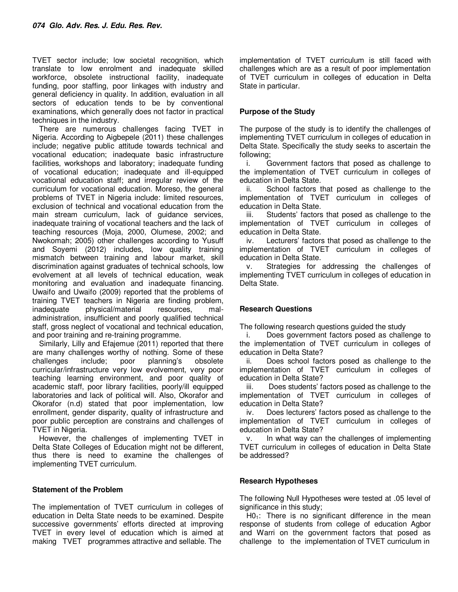TVET sector include; low societal recognition, which translate to low enrolment and inadequate skilled workforce, obsolete instructional facility, inadequate funding, poor staffing, poor linkages with industry and general deficiency in quality. In addition, evaluation in all sectors of education tends to be by conventional examinations, which generally does not factor in practical techniques in the industry.

There are numerous challenges facing TVET in Nigeria. According to Aigbepele (2011) these challenges include; negative public attitude towards technical and vocational education; inadequate basic infrastructure facilities, workshops and laboratory; inadequate funding of vocational education; inadequate and ill-equipped vocational education staff; and irregular review of the curriculum for vocational education. Moreso, the general problems of TVET in Nigeria include: limited resources, exclusion of technical and vocational education from the main stream curriculum, lack of quidance services, inadequate training of vocational teachers and the lack of teaching resources (Moja, 2000, Olumese, 2002; and Nwokomah; 2005) other challenges according to Yusuff and Soyemi (2012) includes, low quality training mismatch between training and labour market, skill discrimination against graduates of technical schools, low evolvement at all levels of technical education, weak monitoring and evaluation and inadequate financing. Uwaifo and Uwaifo (2009) reported that the problems of training TVET teachers in Nigeria are finding problem, inadequate physical/material resources, maladministration, insufficient and poorly qualified technical staff, gross neglect of vocational and technical education, and poor training and re-training programme.

Similarly, Lilly and Efajemue (2011) reported that there are many challenges worthy of nothing. Some of these challenges include; poor planning's obsolete curricular/infrastructure very low evolvement, very poor teaching learning environment, and poor quality of academic staff, poor library facilities, poorly/ill equipped laboratories and lack of political will. Also, Okorafor and Okorafor (n.d) stated that poor implementation, low enrollment, gender disparity, quality of infrastructure and poor public perception are constrains and challenges of TVET in Nigeria.

However, the challenges of implementing TVET in Delta State Colleges of Education might not be different, thus there is need to examine the challenges of implementing TVET curriculum.

# **Statement of the Problem**

The implementation of TVET curriculum in colleges of education in Delta State needs to be examined. Despite successive governments' efforts directed at improving TVET in every level of education which is aimed at making TVET programmes attractive and sellable. The

implementation of TVET curriculum is still faced with challenges which are as a result of poor implementation of TVET curriculum in colleges of education in Delta State in particular.

#### **Purpose of the Study**

The purpose of the study is to identify the challenges of implementing TVET curriculum in colleges of education in Delta State. Specifically the study seeks to ascertain the following;

i. Government factors that posed as challenge to the implementation of TVET curriculum in colleges of education in Delta State.

ii. School factors that posed as challenge to the implementation of TVET curriculum in colleges of education in Delta State.

iii. Students' factors that posed as challenge to the implementation of TVET curriculum in colleges of education in Delta State.

iv. Lecturers' factors that posed as challenge to the implementation of TVET curriculum in colleges of education in Delta State.

v. Strategies for addressing the challenges of implementing TVET curriculum in colleges of education in Delta State.

# **Research Questions**

The following research questions guided the study

i. Does government factors posed as challenge to the implementation of TVET curriculum in colleges of education in Delta State?

ii. Does school factors posed as challenge to the implementation of TVET curriculum in colleges of education in Delta State?

iii. Does students' factors posed as challenge to the implementation of TVET curriculum in colleges of education in Delta State?

iv. Does lecturers' factors posed as challenge to the implementation of TVET curriculum in colleges of education in Delta State?

v. In what way can the challenges of implementing TVET curriculum in colleges of education in Delta State be addressed?

# **Research Hypotheses**

The following Null Hypotheses were tested at .05 level of significance in this study:

 $H0<sub>1</sub>$ : There is no significant difference in the mean response of students from college of education Agbor and Warri on the government factors that posed as challenge to the implementation of TVET curriculum in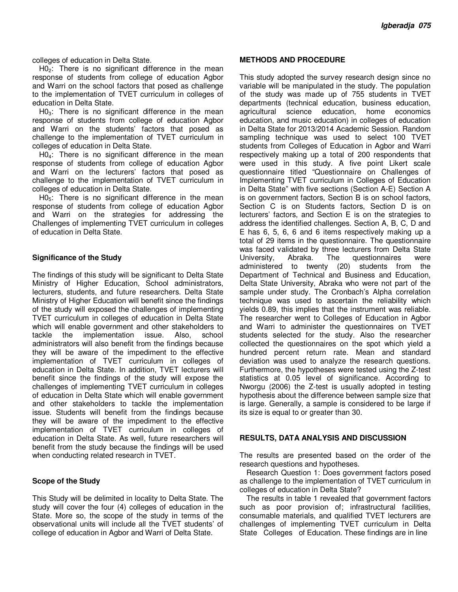colleges of education in Delta State.

 $H0<sub>2</sub>$ : There is no significant difference in the mean response of students from college of education Agbor and Warri on the school factors that posed as challenge to the implementation of TVET curriculum in colleges of education in Delta State.

 $H0<sub>3</sub>$ : There is no significant difference in the mean response of students from college of education Agbor and Warri on the students' factors that posed as challenge to the implementation of TVET curriculum in colleges of education in Delta State.

H0<sub>4</sub>: There is no significant difference in the mean response of students from college of education Agbor and Warri on the lecturers' factors that posed as challenge to the implementation of TVET curriculum in colleges of education in Delta State.

 $H0<sub>5</sub>$ : There is no significant difference in the mean response of students from college of education Agbor and Warri on the strategies for addressing the Challenges of implementing TVET curriculum in colleges of education in Delta State.

#### **Significance of the Study**

The findings of this study will be significant to Delta State Ministry of Higher Education, School administrators, lecturers, students, and future researchers. Delta State Ministry of Higher Education will benefit since the findings of the study will exposed the challenges of implementing TVET curriculum in colleges of education in Delta State which will enable government and other stakeholders to tackle the implementation issue. Also, school administrators will also benefit from the findings because they will be aware of the impediment to the effective implementation of TVET curriculum in colleges of education in Delta State. In addition, TVET lecturers will benefit since the findings of the study will expose the challenges of implementing TVET curriculum in colleges of education in Delta State which will enable government and other stakeholders to tackle the implementation issue. Students will benefit from the findings because they will be aware of the impediment to the effective implementation of TVET curriculum in colleges of education in Delta State. As well, future researchers will benefit from the study because the findings will be used when conducting related research in TVET.

# **Scope of the Study**

This Study will be delimited in locality to Delta State. The study will cover the four (4) colleges of education in the State. More so, the scope of the study in terms of the observational units will include all the TVET students' of college of education in Agbor and Warri of Delta State.

#### **METHODS AND PROCEDURE**

This study adopted the survey research design since no variable will be manipulated in the study. The population of the study was made up of 755 students in TVET departments (technical education, business education, agricultural science education, home economics education, and music education) in colleges of education in Delta State for 2013/2014 Academic Session. Random sampling technique was used to select 100 TVET students from Colleges of Education in Agbor and Warri respectively making up a total of 200 respondents that were used in this study. A five point Likert scale questionnaire titled "Questionnaire on Challenges of Implementing TVET curriculum in Colleges of Education in Delta State" with five sections (Section A-E) Section A is on government factors, Section B is on school factors, Section C is on Students factors, Section D is on lecturers' factors, and Section E is on the strategies to address the identified challenges. Section A, B, C, D and E has 6, 5, 6, 6 and 6 items respectively making up a total of 29 items in the questionnaire. The questionnaire was faced validated by three lecturers from Delta State University, Abraka. The questionnaires were administered to twenty (20) students from the Department of Technical and Business and Education, Delta State University, Abraka who were not part of the sample under study. The Cronbach's Alpha correlation technique was used to ascertain the reliability which yields 0.89, this implies that the instrument was reliable. The researcher went to Colleges of Education in Agbor and Warri to administer the questionnaires on TVET students selected for the study. Also the researcher collected the questionnaires on the spot which yield a hundred percent return rate. Mean and standard deviation was used to analyze the research questions. Furthermore, the hypotheses were tested using the Z-test statistics at 0.05 level of significance. According to Nworgu (2006) the Z-test is usually adopted in testing hypothesis about the difference between sample size that is large. Generally, a sample is considered to be large if its size is equal to or greater than 30.

#### **RESULTS, DATA ANALYSIS AND DISCUSSION**

The results are presented based on the order of the research questions and hypotheses.

Research Question 1: Does government factors posed as challenge to the implementation of TVET curriculum in colleges of education in Delta State?

The results in table 1 revealed that government factors such as poor provision of; infrastructural facilities, consumable materials, and qualified TVET lecturers are challenges of implementing TVET curriculum in Delta State Colleges of Education. These findings are in line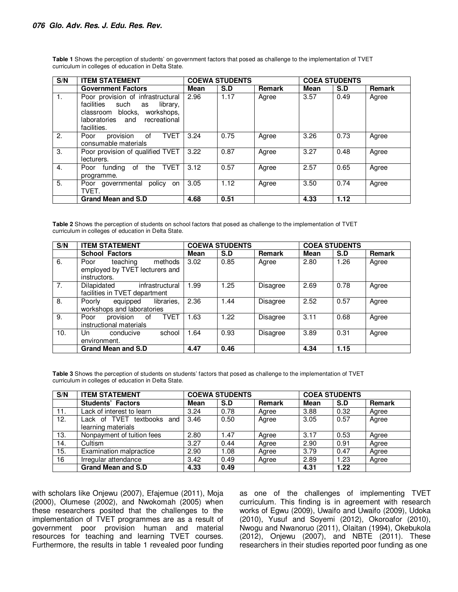| S/N            | <b>ITEM STATEMENT</b>                                                                                                                                     | <b>COEWA STUDENTS</b> |      |               | <b>COEA STUDENTS</b> |      |               |
|----------------|-----------------------------------------------------------------------------------------------------------------------------------------------------------|-----------------------|------|---------------|----------------------|------|---------------|
|                | <b>Government Factors</b>                                                                                                                                 | Mean                  | S.D  | <b>Remark</b> | Mean                 | S.D  | <b>Remark</b> |
| $\mathbf{1}$ . | Poor provision of infrastructural<br>facilities such<br>library,<br>as<br>classroom blocks, workshops,<br>recreational<br>laboratories and<br>facilities. | 2.96                  | 1.17 | Agree         | 3.57                 | 0.49 | Agree         |
| 2.             | provision<br><b>TVET</b><br>0f<br>Poor<br>consumable materials                                                                                            | 3.24                  | 0.75 | Agree         | 3.26                 | 0.73 | Agree         |
| 3.             | Poor provision of qualified TVET<br>lecturers.                                                                                                            | 3.22                  | 0.87 | Agree         | 3.27                 | 0.48 | Agree         |
| 4.             | <b>TVET</b><br>Poor funding of<br>the<br>programme.                                                                                                       | 3.12                  | 0.57 | Agree         | 2.57                 | 0.65 | Agree         |
| 5.             | Poor governmental policy on<br>TVET.                                                                                                                      | 3.05                  | 1.12 | Agree         | 3.50                 | 0.74 | Agree         |
|                | <b>Grand Mean and S.D</b>                                                                                                                                 | 4.68                  | 0.51 |               | 4.33                 | 1.12 |               |

**Table 1** Shows the perception of students' on government factors that posed as challenge to the implementation of TVET curriculum in colleges of education in Delta State.

**Table 2** Shows the perception of students on school factors that posed as challenge to the implementation of TVET curriculum in colleges of education in Delta State.

| S/N | <b>ITEM STATEMENT</b>                                                         |      | <b>COEWA STUDENTS</b> |          |             | <b>COEA STUDENTS</b> |        |
|-----|-------------------------------------------------------------------------------|------|-----------------------|----------|-------------|----------------------|--------|
|     | <b>School Factors</b>                                                         | Mean | S.D                   | Remark   | <b>Mean</b> | S.D                  | Remark |
| 6.  | methods<br>teaching<br>Poor<br>employed by TVET lecturers and<br>instructors. | 3.02 | 0.85                  | Agree    | 2.80        | 1.26                 | Agree  |
| 7.  | Dilapidated<br>infrastructural<br>facilities in TVET department               | 1.99 | 1.25                  | Disagree | 2.69        | 0.78                 | Agree  |
| 8.  | libraries,<br>Poorly<br>equipped<br>workshops and laboratories                | 2.36 | 1.44                  | Disagree | 2.52        | 0.57                 | Agree  |
| 9.  | <b>TVET</b><br>provision of<br>Poor<br>instructional materials                | 1.63 | 1.22                  | Disagree | 3.11        | 0.68                 | Agree  |
| 10. | school<br>Un<br>conducive<br>environment.                                     | 1.64 | 0.93                  | Disagree | 3.89        | 0.31                 | Agree  |
|     | <b>Grand Mean and S.D</b>                                                     | 4.47 | 0.46                  |          | 4.34        | 1.15                 |        |

Table 3 Shows the perception of students on students' factors that posed as challenge to the implementation of TVET curriculum in colleges of education in Delta State.

| S/N | <b>ITEM STATEMENT</b>                               |      | <b>COEWA STUDENTS</b> |               |             | <b>COEA STUDENTS</b> |        |  |
|-----|-----------------------------------------------------|------|-----------------------|---------------|-------------|----------------------|--------|--|
|     | <b>Students' Factors</b>                            | Mean | S.D                   | <b>Remark</b> | <b>Mean</b> | S.D                  | Remark |  |
| 11. | Lack of interest to learn                           | 3.24 | 0.78                  | Agree         | 3.88        | 0.32                 | Agree  |  |
| 12. | _ack of TVET<br>textbooks and<br>learning materials | 3.46 | 0.50                  | Agree         | 3.05        | 0.57                 | Agree  |  |
| 13. | Nonpayment of tuition fees                          | 2.80 | 1.47                  | Agree         | 3.17        | 0.53                 | Agree  |  |
| 14. | Cultism                                             | 3.27 | 0.44                  | Agree         | 2.90        | 0.91                 | Agree  |  |
| 15. | <b>Examination malpractice</b>                      | 2.90 | 1.08                  | Agree         | 3.79        | 0.47                 | Agree  |  |
| 16  | Irregular attendance                                | 3.42 | 0.49                  | Agree         | 2.89        | 1.23                 | Agree  |  |
|     | <b>Grand Mean and S.D</b>                           | 4.33 | 0.49                  |               | 4.31        | 1.22                 |        |  |

with scholars like Onjewu (2007), Efajemue (2011), Moja (2000), Olumese (2002), and Nwokomah (2005) when these researchers posited that the challenges to the implementation of TVET programmes are as a result of government poor provision human and material resources for teaching and learning TVET courses. Furthermore, the results in table 1 revealed poor funding as one of the challenges of implementing TVET curriculum. This finding is in agreement with research works of Egwu (2009), Uwaifo and Uwaifo (2009), Udoka (2010), Yusuf and Soyemi (2012), Okoroafor (2010), Nwogu and Nwanoruo (2011), Olaitan (1994), Okebukola (2012), Onjewu (2007), and NBTE (2011). These researchers in their studies reported poor funding as one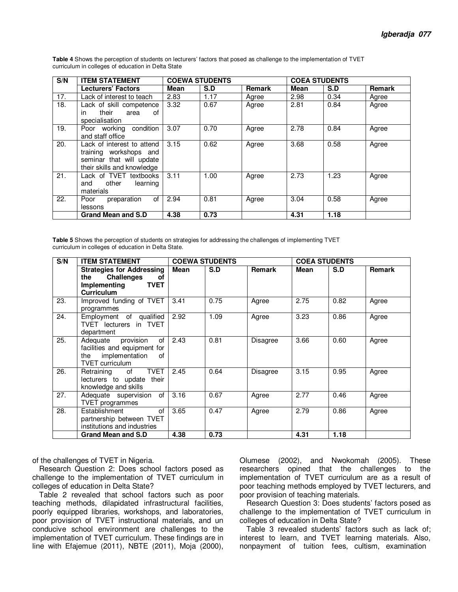| S/N | <b>ITEM STATEMENT</b>                                                                                          |      | <b>COEWA STUDENTS</b> |               | <b>COEA STUDENTS</b> |      |               |
|-----|----------------------------------------------------------------------------------------------------------------|------|-----------------------|---------------|----------------------|------|---------------|
|     | <b>Lecturers' Factors</b>                                                                                      | Mean | S.D                   | <b>Remark</b> | Mean                 | S.D  | <b>Remark</b> |
| 17. | Lack of interest to teach                                                                                      | 2.83 | 1.17                  | Agree         | 2.98                 | 0.34 | Agree         |
| 18. | Lack of skill competence<br>their<br>area<br>in.<br>of<br>specialisation                                       | 3.32 | 0.67                  | Agree         | 2.81                 | 0.84 | Agree         |
| 19. | Poor working condition<br>and staff office                                                                     | 3.07 | 0.70                  | Agree         | 2.78                 | 0.84 | Agree         |
| 20. | Lack of interest to attend<br>training workshops and<br>seminar that will update<br>their skills and knowledge | 3.15 | 0.62                  | Agree         | 3.68                 | 0.58 | Agree         |
| 21. | Lack of TVET textbooks<br>other<br>learning<br>and<br>materials                                                | 3.11 | 1.00                  | Agree         | 2.73                 | 1.23 | Agree         |
| 22. | of<br>Poor<br>preparation<br>lessons                                                                           | 2.94 | 0.81                  | Agree         | 3.04                 | 0.58 | Agree         |
|     | Grand Mean and S.D                                                                                             | 4.38 | 0.73                  |               | 4.31                 | 1.18 |               |

**Table 4** Shows the perception of students on lecturers' factors that posed as challenge to the implementation of TVET curriculum in colleges of education in Delta State

**Table 5** Shows the perception of students on strategies for addressing the challenges of implementing TVET curriculum in colleges of education in Delta State.

| S/N | <b>ITEM STATEMENT</b>                                                                                             |      | <b>COEWA STUDENTS</b> |               | <b>COEA STUDENTS</b> |      |               |
|-----|-------------------------------------------------------------------------------------------------------------------|------|-----------------------|---------------|----------------------|------|---------------|
|     | <b>Strategies for Addressing</b><br>the Challenges<br>оf<br>Implementing<br><b>TVET</b><br><b>Curriculum</b>      | Mean | S.D                   | <b>Remark</b> | Mean                 | S.D  | <b>Remark</b> |
| 23. | Improved funding of TVET<br>programmes                                                                            | 3.41 | 0.75                  | Agree         | 2.75                 | 0.82 | Agree         |
| 24. | Employment of qualified<br>TVET lecturers in TVET<br>department                                                   | 2.92 | 1.09                  | Agree         | 3.23                 | 0.86 | Agree         |
| 25. | Adequate provision<br>of<br>facilities and equipment for<br>implementation<br>of<br>the<br><b>TVET</b> curriculum | 2.43 | 0.81                  | Disagree      | 3.66                 | 0.60 | Agree         |
| 26. | <b>TVET</b><br>of<br>Retraining<br>lecturers to update<br>their<br>knowledge and skills                           | 2.45 | 0.64                  | Disagree      | 3.15                 | 0.95 | Agree         |
| 27. | Adequate supervision of<br><b>TVET</b> programmes                                                                 | 3.16 | 0.67                  | Agree         | 2.77                 | 0.46 | Agree         |
| 28. | of<br>Establishment<br>partnership between TVET<br>institutions and industries                                    | 3.65 | 0.47                  | Agree         | 2.79                 | 0.86 | Agree         |
|     | <b>Grand Mean and S.D</b>                                                                                         | 4.38 | 0.73                  |               | 4.31                 | 1.18 |               |

of the challenges of TVET in Nigeria.

Research Question 2: Does school factors posed as challenge to the implementation of TVET curriculum in colleges of education in Delta State?

Table 2 revealed that school factors such as poor teaching methods, dilapidated infrastructural facilities, poorly equipped libraries, workshops, and laboratories, poor provision of TVET instructional materials, and un conducive school environment are challenges to the implementation of TVET curriculum. These findings are in line with Efajemue (2011), NBTE (2011), Moja (2000),

Olumese (2002), and Nwokomah (2005). These researchers opined that the challenges to the implementation of TVET curriculum are as a result of poor teaching methods employed by TVET lecturers, and poor provision of teaching materials.

Research Question 3: Does students' factors posed as challenge to the implementation of TVET curriculum in colleges of education in Delta State?

Table 3 revealed students' factors such as lack of; interest to learn, and TVET learning materials. Also, nonpayment of tuition fees, cultism, examination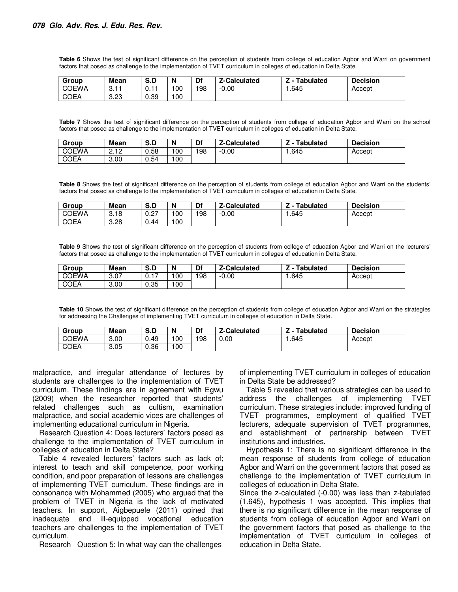**Table 6** Shows the test of significant difference on the perception of students from college of education Agbor and Warri on government factors that posed as challenge to the implementation of TVET curriculum in colleges of education in Delta State.

| Group        | <b>Mean</b>        | C R<br>5.U   | N   | Df  | <b>Z-Calculated</b> | Tabulated | <b>Decision</b> |
|--------------|--------------------|--------------|-----|-----|---------------------|-----------|-----------------|
| <b>COEWA</b> | <b>COM</b><br>∪. ⊢ | -4-4<br>.U.I | 100 | 198 | 0.00<br>- 1         | .645      | Accept          |
| <b>COEA</b>  | 3.23               | 0.39         | 100 |     |                     |           |                 |

**Table 7** Shows the test of significant difference on the perception of students from college of education Agbor and Warri on the school factors that posed as challenge to the implementation of TVET curriculum in colleges of education in Delta State.

| Group        | Mean           | S.D  | N   | Df  | Z-Calculated | <b>Tabulated</b> | <b>Decision</b> |
|--------------|----------------|------|-----|-----|--------------|------------------|-----------------|
| <b>COEWA</b> | 0.10<br>ے ، ۔ے | 0.58 | 100 | 198 | $-0.00$      | 645. ا           | Accept          |
| <b>COEA</b>  | 3.00           | 0.54 | 100 |     |              |                  |                 |

**Table 8** Shows the test of significant difference on the perception of students from college of education Agbor and Warri on the students' factors that posed as challenge to the implementation of TVET curriculum in colleges of education in Delta State.

| Group        | <b>Mean</b> | Ð<br>$\mathbf{\hat{z}}$<br>้ จ.ม | N   | Df  | '-Calculated | <b>Tabulated</b><br>- | <b>Decision</b> |
|--------------|-------------|----------------------------------|-----|-----|--------------|-----------------------|-----------------|
| <b>COEWA</b> | 3.18        | 0.27                             | 100 | 198 | $-0.00$      | .645                  | Accept          |
| <b>COEA</b>  | 3.28        | 0.44<br>⌒                        | 100 |     |              |                       |                 |

**Table 9** Shows the test of significant difference on the perception of students from college of education Agbor and Warri on the lecturers' factors that posed as challenge to the implementation of TVET curriculum in colleges of education in Delta State.

| Group        | <b>Mean</b> | $\sim$ $\sim$<br>3.L | N  | Df  | -Calculated | <b>Tabulated</b> | <b>Decision</b> |
|--------------|-------------|----------------------|----|-----|-------------|------------------|-----------------|
| <b>COEWA</b> | 3.07        | <b>U.II</b>          | 00 | 198 | $-0.00$     | .645             | Accept          |
| <b>COEA</b>  | 3.00        | 0.35                 | 00 |     |             |                  |                 |

**Table 10** Shows the test of significant difference on the perception of students from college of education Agbor and Warri on the strategies for addressing the Challenges of implementing TVET curriculum in colleges of education in Delta State.

| Group        | <b>Mean</b> | $\sim$ $\sim$<br>5.U | N   | Df  | 7-Calculated | <b>Tabulated</b> | <b>Decision</b> |
|--------------|-------------|----------------------|-----|-----|--------------|------------------|-----------------|
| <b>COEWA</b> | 3.00        | 0.49                 | 100 | 198 | 0.00         | .645             | Accept          |
| <b>COEA</b>  | 3.05        | 0.36                 | 100 |     |              |                  |                 |

malpractice, and irregular attendance of lectures by students are challenges to the implementation of TVET curriculum. These findings are in agreement with Egwu (2009) when the researcher reported that students' related challenges such as cultism, examination malpractice, and social academic vices are challenges of implementing educational curriculum in Nigeria.

Research Question 4: Does lecturers' factors posed as challenge to the implementation of TVET curriculum in colleges of education in Delta State?

Table 4 revealed lecturers' factors such as lack of; interest to teach and skill competence, poor working condition, and poor preparation of lessons are challenges of implementing TVET curriculum. These findings are in consonance with Mohammed (2005) who argued that the problem of TVET in Nigeria is the lack of motivated teachers. In support, Aigbepuele (2011) opined that inadequate and ill-equipped vocational education teachers are challenges to the implementation of TVET curriculum.

Research Question 5: In what way can the challenges

of implementing TVET curriculum in colleges of education in Delta State be addressed?

Table 5 revealed that various strategies can be used to address the challenges of implementing TVET curriculum. These strategies include: improved funding of TVET programmes, employment of qualified TVET lecturers, adequate supervision of TVET programmes, and establishment of partnership between TVET institutions and industries.

Hypothesis 1: There is no significant difference in the mean response of students from college of education Agbor and Warri on the government factors that posed as challenge to the implementation of TVET curriculum in colleges of education in Delta State.

Since the z-calculated (-0.00) was less than z-tabulated (1.645), hypothesis 1 was accepted. This implies that there is no significant difference in the mean response of students from college of education Agbor and Warri on the government factors that posed as challenge to the implementation of TVET curriculum in colleges of education in Delta State.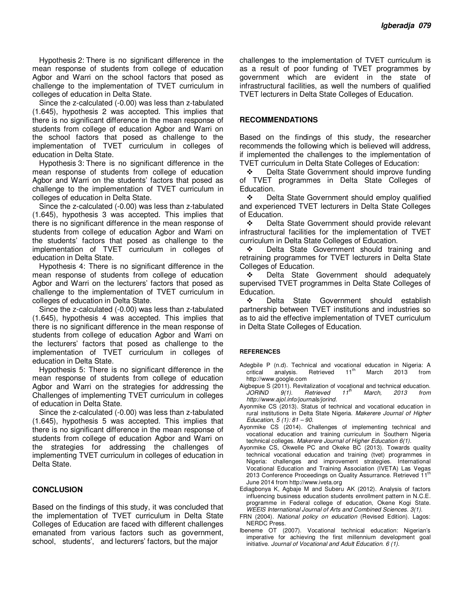Hypothesis 2: There is no significant difference in the mean response of students from college of education Agbor and Warri on the school factors that posed as challenge to the implementation of TVET curriculum in colleges of education in Delta State.

Since the z-calculated (-0.00) was less than z-tabulated (1.645), hypothesis 2 was accepted. This implies that there is no significant difference in the mean response of students from college of education Agbor and Warri on the school factors that posed as challenge to the implementation of TVET curriculum in colleges of education in Delta State.

Hypothesis 3: There is no significant difference in the mean response of students from college of education Agbor and Warri on the students' factors that posed as challenge to the implementation of TVET curriculum in colleges of education in Delta State.

Since the z-calculated (-0.00) was less than z-tabulated (1.645), hypothesis 3 was accepted. This implies that there is no significant difference in the mean response of students from college of education Agbor and Warri on the students' factors that posed as challenge to the implementation of TVET curriculum in colleges of education in Delta State.

Hypothesis 4: There is no significant difference in the mean response of students from college of education Agbor and Warri on the lecturers' factors that posed as challenge to the implementation of TVET curriculum in colleges of education in Delta State.

Since the z-calculated (-0.00) was less than z-tabulated (1.645), hypothesis 4 was accepted. This implies that there is no significant difference in the mean response of students from college of education Agbor and Warri on the lecturers' factors that posed as challenge to the implementation of TVET curriculum in colleges of education in Delta State.

Hypothesis 5: There is no significant difference in the mean response of students from college of education Agbor and Warri on the strategies for addressing the Challenges of implementing TVET curriculum in colleges of education in Delta State.

Since the z-calculated (-0.00) was less than z-tabulated (1.645), hypothesis 5 was accepted. This implies that there is no significant difference in the mean response of students from college of education Agbor and Warri on the strategies for addressing the challenges of implementing TVET curriculum in colleges of education in Delta State.

#### **CONCLUSION**

Based on the findings of this study, it was concluded that the implementation of TVET curriculum in Delta State Colleges of Education are faced with different challenges emanated from various factors such as government, school, students', and lecturers' factors, but the major

challenges to the implementation of TVET curriculum is as a result of poor funding of TVET programmes by government which are evident in the state of infrastructural facilities, as well the numbers of qualified TVET lecturers in Delta State Colleges of Education.

#### **RECOMMENDATIONS**

Based on the findings of this study, the researcher recommends the following which is believed will address, if implemented the challenges to the implementation of TVET curriculum in Delta State Colleges of Education:

 Delta State Government should improve funding of TVET programmes in Delta State Colleges of Education.

❖ Delta State Government should employ qualified and experienced TVET lecturers in Delta State Colleges of Education.

 Delta State Government should provide relevant infrastructural facilities for the implementation of TVET curriculum in Delta State Colleges of Education.

❖ Delta State Government should training and retraining programmes for TVET lecturers in Delta State Colleges of Education.

**\*** Delta State Government should adequately supervised TVET programmes in Delta State Colleges of Education.

 Delta State Government should establish partnership between TVET institutions and industries so as to aid the effective implementation of TVET curriculum in Delta State Colleges of Education.

#### **REFERENCES**

- Adegbile P (n.d). Technical and vocational education in Nigeria: A critical analysis. Retrieved 11<sup>th</sup> March 2013 from critical analysis. Retrieved  $11<sup>th</sup>$  March 2013 from http://www.google.com
- Aigbepue S (2011). Revitalization of vocational and technical education. *JORIND 9(1). Retrieved 11th March, 2013 from http://www.ajol.info/journals/jorind.*
- Ayonmike CS (2013). Status of technical and vocational education in rural institutions in Delta State Nigeria. *Makerere Journal of Higher Education, 5 (1): 81 – 90.*
- Ayonmike CS (2014). Challenges of implementing technical and vocational education and training curriculum in Southern Nigeria technical colleges. *Makerere Journal of Higher Education 6(1).*
- Ayonmike CS, Okwelle PC and Okeke BC (2013). Towards quality technical vocational education and training (tvet) programmes in Nigeria: challenges and improvement strategies. International Vocational Education and Training Association (IVETA) Las Vegas 2013 Conference Proceedings on Quality Assurrance. Retrieved 11<sup>th</sup> June 2014 from http://www.iveta.org
- Ediagbonya K, Agbaje M and Suberu AK (2012). Analysis of factors influencing business education students enrollment pattern in N.C.E. programme in Federal college of education, Okene Kogi State. *WEEIS International Journal of Arts and Combined Sciences. 3(1).*
- FRN (2004). *National policy on education* (Revised Edition). Lagos: NERDC Press.
- Ibeneme OT (2007). Vocational technical education: Nigerian's imperative for achieving the first millennium development goal initiative. *Journal of Vocational and Adult Education. 6 (1).*